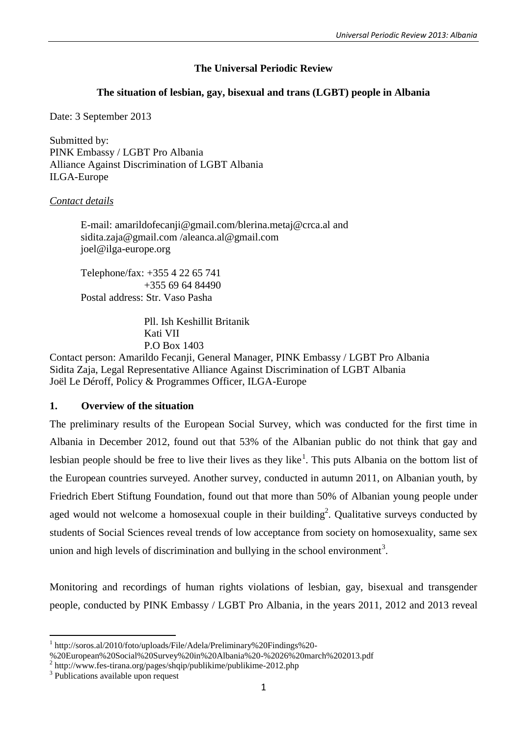# **The Universal Periodic Review**

# **The situation of lesbian, gay, bisexual and trans (LGBT) people in Albania**

Date: 3 September 2013

Submitted by: PINK Embassy / LGBT Pro Albania Alliance Against Discrimination of LGBT Albania ILGA-Europe

## *Contact details*

E-mail: [amarildofecanji@gmail.com/](mailto:amarildofecanji@gmail.com)[blerina.metaj@crca.al](mailto:blerina.metaj@crca.al) and [sidita.zaja@gmail.com](mailto:sidita.zaja@gmail.com) [/aleanca.al@gmail.com](mailto:/aleanca.al@gmail.com) joel@ilga-europe.org

Telephone/fax: +355 4 22 65 741 +355 69 64 84490 Postal address: Str. Vaso Pasha

> Pll. Ish Keshillit Britanik Kati VII P.O Box 1403

Contact person: Amarildo Fecanji, General Manager, PINK Embassy / LGBT Pro Albania Sidita Zaja, Legal Representative Alliance Against Discrimination of LGBT Albania Joël Le Déroff, Policy & Programmes Officer, ILGA-Europe

## **1. Overview of the situation**

The preliminary results of the European Social Survey, which was conducted for the first time in Albania in December 2012, found out that 53% of the Albanian public do not think that gay and lesbian people should be free to live their lives as they like<sup>1</sup>. This puts Albania on the bottom list of the European countries surveyed. Another survey, conducted in autumn 2011, on Albanian youth, by Friedrich Ebert Stiftung Foundation, found out that more than 50% of Albanian young people under aged would not welcome a homosexual couple in their building<sup>2</sup>. Qualitative surveys conducted by students of Social Sciences reveal trends of low acceptance from society on homosexuality, same sex union and high levels of discrimination and bullying in the school environment<sup>3</sup>.

Monitoring and recordings of human rights violations of lesbian, gay, bisexual and transgender people, conducted by PINK Embassy / LGBT Pro Albania, in the years 2011, 2012 and 2013 reveal

<sup>1</sup> http://soros.al/2010/foto/uploads/File/Adela/Preliminary%20Findings%20-

<sup>%20</sup>European%20Social%20Survey%20in%20Albania%20-%2026%20march%202013.pdf

<sup>&</sup>lt;sup>2</sup> <http://www.fes-tirana.org/pages/shqip/publikime/publikime-2012.php>

<sup>&</sup>lt;sup>3</sup> Publications available upon request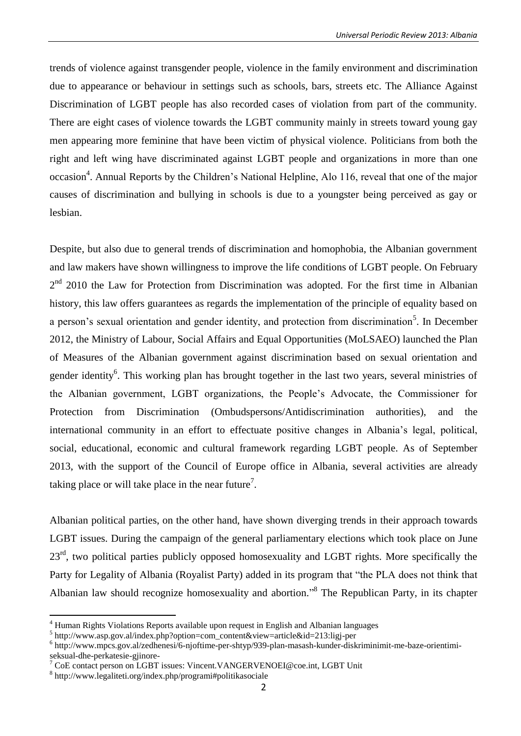trends of violence against transgender people, violence in the family environment and discrimination due to appearance or behaviour in settings such as schools, bars, streets etc. The Alliance Against Discrimination of LGBT people has also recorded cases of violation from part of the community. There are eight cases of violence towards the LGBT community mainly in streets toward young gay men appearing more feminine that have been victim of physical violence. Politicians from both the right and left wing have discriminated against LGBT people and organizations in more than one occasion<sup>4</sup>. Annual Reports by the Children's National Helpline, Alo 116, reveal that one of the major causes of discrimination and bullying in schools is due to a youngster being perceived as gay or lesbian.

Despite, but also due to general trends of discrimination and homophobia, the Albanian government and law makers have shown willingness to improve the life conditions of LGBT people. On February  $2<sup>nd</sup>$  2010 the Law for Protection from Discrimination was adopted. For the first time in Albanian history, this law offers guarantees as regards the implementation of the principle of equality based on a person's sexual orientation and gender identity, and protection from discrimination<sup>5</sup>. In December 2012, the Ministry of Labour, Social Affairs and Equal Opportunities (MoLSAEO) launched the Plan of Measures of the Albanian government against discrimination based on sexual orientation and gender identity<sup>6</sup>. This working plan has brought together in the last two years, several ministries of the Albanian government, LGBT organizations, the People's Advocate, the Commissioner for Protection from Discrimination (Ombudspersons/Antidiscrimination authorities), and the international community in an effort to effectuate positive changes in Albania's legal, political, social, educational, economic and cultural framework regarding LGBT people. As of September 2013, with the support of the Council of Europe office in Albania, several activities are already taking place or will take place in the near future<sup>7</sup>.

Albanian political parties, on the other hand, have shown diverging trends in their approach towards LGBT issues. During the campaign of the general parliamentary elections which took place on June 23<sup>rd</sup>, two political parties publicly opposed homosexuality and LGBT rights. More specifically the Party for Legality of Albania (Royalist Party) added in its program that "the PLA does not think that Albanian law should recognize homosexuality and abortion."<sup>8</sup> The Republican Party, in its chapter

<sup>4</sup> Human Rights Violations Reports available upon request in English and Albanian languages

<sup>5</sup> [http://www.asp.gov.al/index.php?option=com\\_content&view=article&id=213:ligj-per](http://www.asp.gov.al/index.php?option=com_content&view=article&id=213:ligj-per)

<sup>&</sup>lt;sup>6</sup> http://www.mpcs.gov.al/zedhenesi/6-njoftime-per-shtyp/939-plan-masash-kunder-diskriminimit-me-baze-orientimiseksual-dhe-perkatesie-gjinore-

<sup>7</sup> CoE contact person on LGBT issues[: Vincent.VANGERVENOEI@coe.int,](mailto:Vincent.VANGERVENOEI@coe.int) LGBT Unit

<sup>8</sup> <http://www.legaliteti.org/index.php/programi#politikasociale>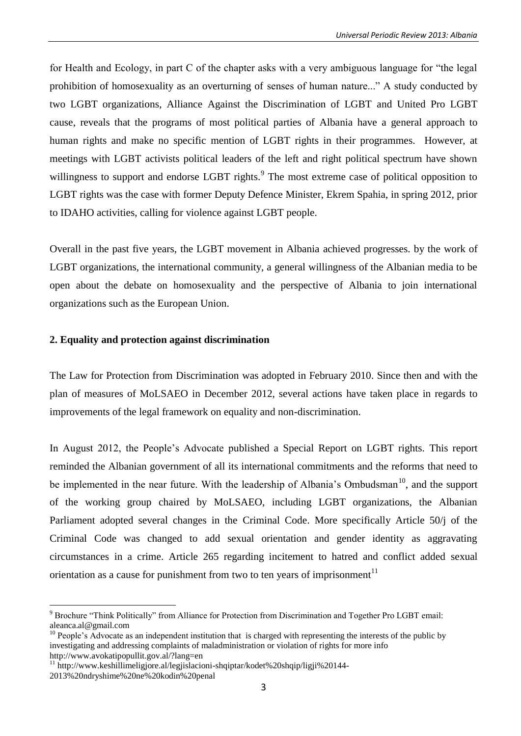for Health and Ecology, in part C of the chapter asks with a very ambiguous language for "the legal prohibition of homosexuality as an overturning of senses of human nature..." A study conducted by two LGBT organizations, Alliance Against the Discrimination of LGBT and United Pro LGBT cause, reveals that the programs of most political parties of Albania have a general approach to human rights and make no specific mention of LGBT rights in their programmes. However, at meetings with LGBT activists political leaders of the left and right political spectrum have shown willingness to support and endorse LGBT rights.<sup>9</sup> The most extreme case of political opposition to LGBT rights was the case with former Deputy Defence Minister, Ekrem Spahia, in spring 2012, prior to IDAHO activities, calling for violence against LGBT people.

Overall in the past five years, the LGBT movement in Albania achieved progresses. by the work of LGBT organizations, the international community, a general willingness of the Albanian media to be open about the debate on homosexuality and the perspective of Albania to join international organizations such as the European Union.

### **2. Equality and protection against discrimination**

The Law for Protection from Discrimination was adopted in February 2010. Since then and with the plan of measures of MoLSAEO in December 2012, several actions have taken place in regards to improvements of the legal framework on equality and non-discrimination.

In August 2012, the People's Advocate published a Special Report on LGBT rights. This report reminded the Albanian government of all its international commitments and the reforms that need to be implemented in the near future. With the leadership of Albania's Ombudsman<sup>10</sup>, and the support of the working group chaired by MoLSAEO, including LGBT organizations, the Albanian Parliament adopted several changes in the Criminal Code. More specifically Article 50/j of the Criminal Code was changed to add sexual orientation and gender identity as aggravating circumstances in a crime. Article 265 regarding incitement to hatred and conflict added sexual orientation as a cause for punishment from two to ten years of imprisonment $11$ 

<sup>&</sup>lt;sup>9</sup> Brochure "Think Politically" from Alliance for Protection from Discrimination and Together Pro LGBT email: [aleanca.al@gmail.com](mailto:aleanca.al@gmail.com)

<sup>&</sup>lt;sup>10</sup> People's Advocate as an independent institution that is charged with representing the interests of the [public](http://en.wikipedia.org/wiki/Public) by investigating and addressing complaints of maladministration or violation of rights for more info <http://www.avokatipopullit.gov.al/?lang=en>

 $11 \text{ http://www.keshillimeligjore.a1/legiislacioni-shqiptar/kodet%20shqip/ligji%20144-$ 

<sup>2013%20</sup>ndryshime%20ne%20kodin%20penal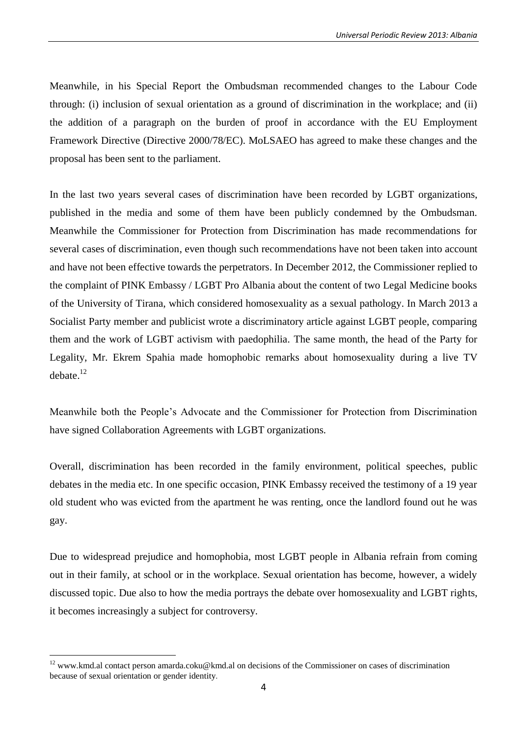Meanwhile, in his Special Report the Ombudsman recommended changes to the Labour Code through: (i) inclusion of sexual orientation as a ground of discrimination in the workplace; and (ii) the addition of a paragraph on the burden of proof in accordance with the EU Employment Framework Directive (Directive 2000/78/EC). MoLSAEO has agreed to make these changes and the proposal has been sent to the parliament.

In the last two years several cases of discrimination have been recorded by LGBT organizations, published in the media and some of them have been publicly condemned by the Ombudsman. Meanwhile the Commissioner for Protection from Discrimination has made recommendations for several cases of discrimination, even though such recommendations have not been taken into account and have not been effective towards the perpetrators. In December 2012, the Commissioner replied to the complaint of PINK Embassy / LGBT Pro Albania about the content of two Legal Medicine books of the University of Tirana, which considered homosexuality as a sexual pathology. In March 2013 a Socialist Party member and publicist wrote a discriminatory article against LGBT people, comparing them and the work of LGBT activism with paedophilia. The same month, the head of the Party for Legality, Mr. Ekrem Spahia made homophobic remarks about homosexuality during a live TV debate. 12

Meanwhile both the People's Advocate and the Commissioner for Protection from Discrimination have signed Collaboration Agreements with LGBT organizations.

Overall, discrimination has been recorded in the family environment, political speeches, public debates in the media etc. In one specific occasion, PINK Embassy received the testimony of a 19 year old student who was evicted from the apartment he was renting, once the landlord found out he was gay.

Due to widespread prejudice and homophobia, most LGBT people in Albania refrain from coming out in their family, at school or in the workplace. Sexual orientation has become, however, a widely discussed topic. Due also to how the media portrays the debate over homosexuality and LGBT rights, it becomes increasingly a subject for controversy.

<sup>&</sup>lt;sup>12</sup> [www.kmd.al](http://www.kmd.al/) contact person [amarda.coku@kmd.al](mailto:amarda.coku@kmd.al) on decisions of the Commissioner on cases of discrimination because of sexual orientation or gender identity.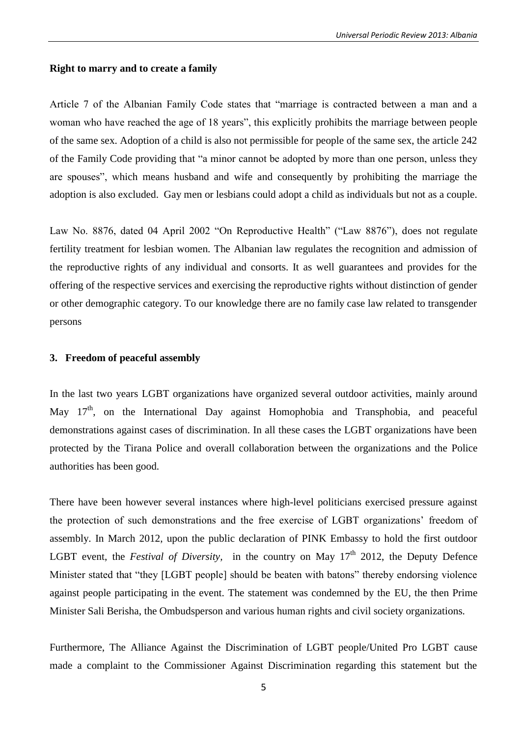#### **Right to marry and to create a family**

Article 7 of the Albanian Family Code states that "marriage is contracted between a man and a woman who have reached the age of 18 years", this explicitly prohibits the marriage between people of the same sex. Adoption of a child is also not permissible for people of the same sex, the article 242 of the Family Code providing that "a minor cannot be adopted by more than one person, unless they are spouses", which means husband and wife and consequently by prohibiting the marriage the adoption is also excluded. Gay men or lesbians could adopt a child as individuals but not as a couple.

Law No. 8876, dated 04 April 2002 "On Reproductive Health" ("Law 8876"), does not regulate fertility treatment for lesbian women. The Albanian law regulates the recognition and admission of the reproductive rights of any individual and consorts. It as well guarantees and provides for the offering of the respective services and exercising the reproductive rights without distinction of gender or other demographic category. To our knowledge there are no family case law related to transgender persons

### **3. Freedom of peaceful assembly**

In the last two years LGBT organizations have organized several outdoor activities, mainly around May 17<sup>th</sup>, on the International Day against Homophobia and Transphobia, and peaceful demonstrations against cases of discrimination. In all these cases the LGBT organizations have been protected by the Tirana Police and overall collaboration between the organizations and the Police authorities has been good.

There have been however several instances where high-level politicians exercised pressure against the protection of such demonstrations and the free exercise of LGBT organizations' freedom of assembly. In March 2012, upon the public declaration of PINK Embassy to hold the first outdoor LGBT event, the *Festival of Diversity*, in the country on May 17<sup>th</sup> 2012, the Deputy Defence Minister stated that "they [LGBT people] should be beaten with batons" thereby endorsing violence against people participating in the event. The statement was condemned by the EU, the then Prime Minister Sali Berisha, the Ombudsperson and various human rights and civil society organizations.

Furthermore, The Alliance Against the Discrimination of LGBT people/United Pro LGBT cause made a complaint to the Commissioner Against Discrimination regarding this statement but the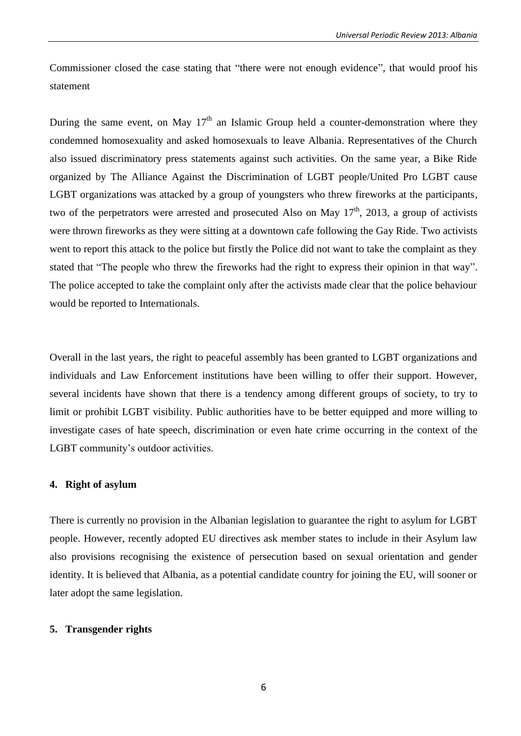Commissioner closed the case stating that "there were not enough evidence", that would proof his statement

During the same event, on May  $17<sup>th</sup>$  an Islamic Group held a counter-demonstration where they condemned homosexuality and asked homosexuals to leave Albania. Representatives of the Church also issued discriminatory press statements against such activities. On the same year, a Bike Ride organized by The Alliance Against the Discrimination of LGBT people/United Pro LGBT cause LGBT organizations was attacked by a group of youngsters who threw fireworks at the participants, two of the perpetrators were arrested and prosecuted Also on May  $17<sup>th</sup>$ , 2013, a group of activists were thrown fireworks as they were sitting at a downtown cafe following the Gay Ride. Two activists went to report this attack to the police but firstly the Police did not want to take the complaint as they stated that "The people who threw the fireworks had the right to express their opinion in that way". The police accepted to take the complaint only after the activists made clear that the police behaviour would be reported to Internationals.

Overall in the last years, the right to peaceful assembly has been granted to LGBT organizations and individuals and Law Enforcement institutions have been willing to offer their support. However, several incidents have shown that there is a tendency among different groups of society, to try to limit or prohibit LGBT visibility. Public authorities have to be better equipped and more willing to investigate cases of hate speech, discrimination or even hate crime occurring in the context of the LGBT community's outdoor activities.

#### **4. Right of asylum**

There is currently no provision in the Albanian legislation to guarantee the right to asylum for LGBT people. However, recently adopted EU directives ask member states to include in their Asylum law also provisions recognising the existence of persecution based on sexual orientation and gender identity. It is believed that Albania, as a potential candidate country for joining the EU, will sooner or later adopt the same legislation.

#### **5. Transgender rights**